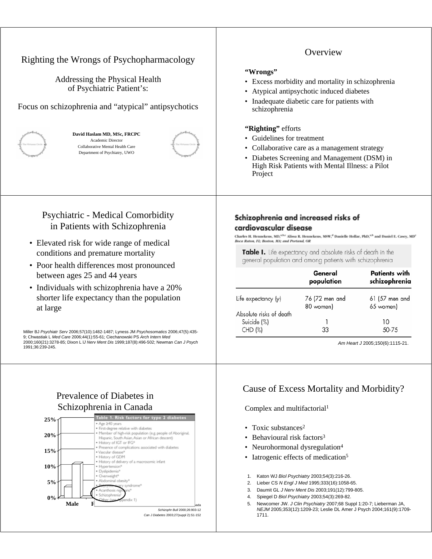| Righting the Wrongs of Psychopharmacology<br>Addressing the Physical Health<br>of Psychiatric Patient's:<br>Focus on schizophrenia and "atypical" antipsychotics<br>David Haslam MD, MSc, FRCPC<br>Academic Director<br>Collaborative Mental Health Care<br>Department of Psychiatry, UWO                                                                                                                                                                                                                                                                                                                                                                                                                                            | Overview<br>"Wrongs"<br>• Excess morbidity and mortality in schizophrenia<br>Atypical antipsychotic induced diabetes<br>• Inadequate diabetic care for patients with<br>schizophrenia<br>"Righting" efforts<br>Guidelines for treatment<br>• Collaborative care as a management strategy<br>• Diabetes Screening and Management (DSM) in<br>High Risk Patients with Mental Illness: a Pilot<br>Project                                                                                                                                                                                                                                                                    |  |  |  |
|--------------------------------------------------------------------------------------------------------------------------------------------------------------------------------------------------------------------------------------------------------------------------------------------------------------------------------------------------------------------------------------------------------------------------------------------------------------------------------------------------------------------------------------------------------------------------------------------------------------------------------------------------------------------------------------------------------------------------------------|---------------------------------------------------------------------------------------------------------------------------------------------------------------------------------------------------------------------------------------------------------------------------------------------------------------------------------------------------------------------------------------------------------------------------------------------------------------------------------------------------------------------------------------------------------------------------------------------------------------------------------------------------------------------------|--|--|--|
| <b>Psychiatric - Medical Comorbidity</b><br>in Patients with Schizophrenia<br>• Elevated risk for wide range of medical<br>conditions and premature mortality<br>• Poor health differences most pronounced<br>between ages 25 and 44 years<br>• Individuals with schizophrenia have a 20%<br>shorter life expectancy than the population<br>at large<br>Miller BJ Psychiatr Serv 2006;57(10):1482-1487; Lyness JM Psychosomatics 2006;47(5):435-<br>9; Chwastiak L Med Care 2006;44(1):55-61; Ciechanowski PS Arch Intern Med<br>2000;160(21):3278-85; Dixon L IJ Nerv Ment Dis 1999;187(8):496-502; Newman Can J Psych<br>1991;36:239-245.                                                                                          | Schizophrenia and increased risks of<br>cardiovascular disease<br>Charles H. Hennekens, MD, <sup>a,h,c</sup> Alissa R. Hennekens, MSW, <sup>d</sup> Danielle Hollar, PhD, <sup>a,b</sup> and Daniel E. Casey, MD<br>Boca Raton, FL: Boston, MA: and Portand, OR<br>Table I. Life expectancy and absolute risks of death in the<br>general population and among patients with schizophrenia<br>General<br><b>Patients with</b><br>population<br>schizophrenia<br>Life expectancy (y)<br>76 (72 men and<br>61 (57 men and<br>80 women)<br>65 women)<br>Absolute risks of death<br>Suicide (%)<br>10<br>33<br>50-75<br>CHD (%)<br>Am Heart J 2005;150(6):1115-2 <sup>.</sup> |  |  |  |
| Prevalence of Diabetes in<br>Schizophrenia in Canada<br>le 1. Risk factors for type 2 diabetes<br>25%<br>● Age ≥40 years<br>· First-degree relative with diabetes<br>· Member of high-risk population (e.g. people of Aboriginal,<br>20%<br>Hispanic, South Asian, Asian or African descent)<br>. History of IGT or IFG*<br>Presence of complications associated with diabetes<br>15%<br>· Vascular disease*<br>• History of GDM<br>. History of delivery of a macrosomic infant<br>10%<br>· Hypertension®<br>· Dyslipidemia*<br>· Overweight*<br>· Abdominal obesity®<br>5%<br>syndrome*<br>Acanthosis r<br>Schizophrenia<br>0%<br>endix 1)<br>Male<br>E<br>Schizophr Bull 2000;26:903-12<br>Can J Diabetes 2003;27(suppl 2):S1-152 | Cause of Excess Mortality and Morbidity?<br>Complex and multifactorial <sup>1</sup><br>Toxic substances <sup>2</sup><br>٠<br>Behavioural risk factors <sup>3</sup><br>٠<br>Neurohormonal dysregulation <sup>4</sup><br>٠<br>Iatrogenic effects of medication <sup>5</sup><br>٠<br>Katon WJ Biol Psychiatry 2003;54(3):216-26.<br>1.<br>2.<br>Lieber CS N Engl J Med 1995;333(16):1058-65.<br>Daumit GL J Nerv Ment Dis 2003;191(12):799-805.<br>3.<br>Spiegel D Biol Psychiatry 2003;54(3):269-82.<br>4.<br>Newcomer JW. J Clin Psychiatry 2007;68 Suppl 1:20-7; Lieberman JA,<br>5.<br>NEJM 2005;353(12):1209-23; Leslie DL Amer J Psych 2004;161(9):1709-<br>1711.      |  |  |  |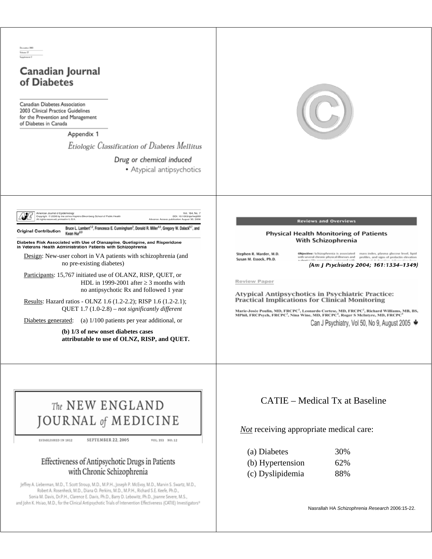## Canadian Journal of Diabetes

Canadian Diabetes Association 2003 Clinical Practice Guidelines for the Prevention and Management of Diabetes in Canada

> Appendix 1 Etiologic Classification of Diabetes Mellitus

> > Drug or chemical induced

• Atypical antipsychotics



Vol. 164, No. 7<br>DOI: 10.1093/aje/kwj289<br>blication August 30, 2006

Bruce L. Lambert<sup>12</sup>, Francesca E. Cunningham<sup>3</sup>, Donald R. Miller<sup>4.5</sup>, Gregory W. Dalack<sup>8.7</sup>, and Kwan Hur<sup>8.9</sup> **Original Contribution** 

Diabetes Risk Associated with Use of Olanzapine, Quetiapine, and Risperidone in Veterans Health Administration Patients with Schizophrenia

Design: New-user cohort in VA patients with schizophrenia (and no pre-existing diabetes)

Participants: 15,767 initiated use of OLANZ, RISP, QUET, or HDL in 1999-2001 after  $\geq$  3 months with no antipsychotic Rx and followed 1 year

Results: Hazard ratios - OLNZ 1.6 (1.2-2.2); RISP 1.6 (1.2-2.1); QUET 1.7 (1.0-2.8) – *not significantly different*

Diabetes generated: (a) 1/100 patients per year additional, or

**(b) 1/3 of new onset diabetes cases attributable to use of OLNZ, RISP, and QUET.**



ESTABLISHED IN 1812

SEPTEMBER 22, 2005 VOL. 353 NO. 12

## Effectiveness of Antipsychotic Drugs in Patients with Chronic Schizophrenia

Jeffrey A. Lieberman, M.D., T. Scott Stroup, M.D., M.P.H., Joseph P. McEvoy, M.D., Marvin S. Swartz, M.D., Robert A. Rosenheck, M.D., Diana O. Perkins, M.D., M.P.H., Richard S.E. Keefe, Ph.D., Sonia M. Davis, Dr.P.H., Clarence E. Davis, Ph.D., Barry D. Lebowitz, Ph.D., Joanne Severe, M.S., and John K. Hsiao, M.D., for the Clinical Antipsychotic Trials of Intervention Effectiveness (CATIE) Investigators\*



#### **Reviews and Overviews**

#### Physical Health Monitoring of Patients With Schizophrenia

Stephen R. Marder, M.D. Susan M. Essock, Ph.D.

Objective: Schizophrenia is associated mass index, plasma glucose level, lipid<br>with several chronic physical illnesses and profiles, and signs of prolactin elevation (Am J Psychiatry 2004; 161:1334-1349)

Review Paper

Atypical Antipsychotics in Psychiatric Practice: **Practical Implications for Clinical Monitoring** 

Marie-Josée Poulin, MD, FRCPC<sup>1</sup>, Leonardo Cortese, MD, FRCPC<sup>2</sup>, Richard Williams, MB, BS,<br>MPhil, FRCPsych, FRCPC<sup>2</sup>, Nina Wine, MD, FRCPC<sup>4</sup>, Roger S McIntyre, MD, FRCPC<sup>5</sup> Can J Psychiatry, Vol 50, No 9, August 2005 ♦

## CATIE – Medical Tx at Baseline

*Not* receiving appropriate medical care:

| (a) Diabetes     | 30% |
|------------------|-----|
| (b) Hypertension | 62% |
| (c) Dyslipidemia | 88% |

Nasrallah HA *Schizophrenia Research* 2006:15-22.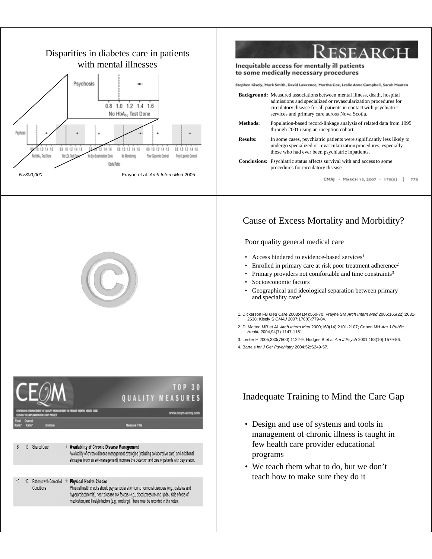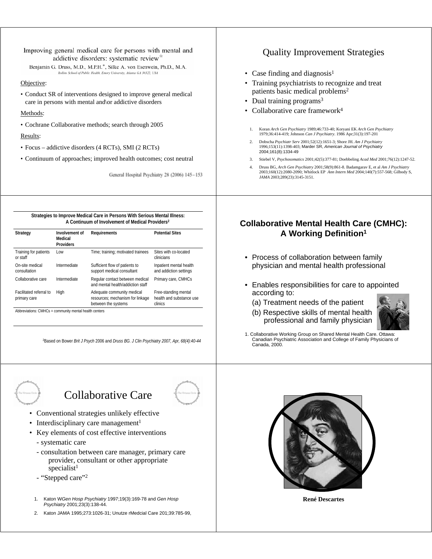#### Improving general medical care for persons with mental and addictive disorders: systematic review<sup>\*</sup>

Benjamin G. Druss, M.D., M.P.H.\*, Silke A. von Esenwein, Ph.D., M.A. Rollins School of Public Health, Emory University, Atlanta GA 30322, USA

#### Objective:

• Conduct SR of interventions designed to improve general medical care in persons with mental and\or addictive disorders

### Methods:

• Cochrane Collaborative methods; search through 2005

## Results:

- Focus addictive disorders (4 RCTs), SMI (2 RCTs)
- Continuum of approaches; improved health outcomes; cost neutral

General Hospital Psychiatry 28 (2006) 145-153

**Strategies to Improve Medical Care in Persons With Serious Mental Illness: A Continuum of Involvement of Medical Providers2**

| Strategy                                       | Involvement of<br>Medical<br><b>Providers</b> | Requirements                                                                          | <b>Potential Sites</b>                                      |
|------------------------------------------------|-----------------------------------------------|---------------------------------------------------------------------------------------|-------------------------------------------------------------|
| Training for patients<br>or staff              | I ow                                          | Time; training; motivated trainees                                                    | Sites with co-located<br>clinicians                         |
| On-site medical<br>consultation                | Intermediate                                  | Sufficient flow of patients to<br>support medical consultant                          | Inpatient mental health<br>and addiction settings           |
| Collaborative care                             | Intermediate                                  | Regular contact between medical<br>and mental health/addiction staff                  | Primary care, CMHCs                                         |
| <b>Facilitated referral to</b><br>primary care | High                                          | Adequate community medical<br>resources; mechanism for linkage<br>between the systems | Free-standing mental<br>health and substance use<br>clinics |

Abbreviations: CMHCs = community mental health centers

2Based on Bower *Brit J Psych* 2006 and *Druss BG. J Clin Psychiatry 2007, Apr, 68(4):40-44*

# Collaborative Care

- Conventional strategies unlikely effective
- Interdisciplinary care management<sup>1</sup>
- Key elements of cost effective interventions
	- systematic care
	- consultation between care manager, primary care provider, consultant or other appropriate specialist<sup>1</sup>
	- "Stepped care"2
	- 1. Katon W*Gen Hosp Psychiatry* 1997;19(3):169-78 and *Gen Hosp Psychiatry* 2001;23(3):138-44.
	- 2. Katon JAMA 1995;273:1026-31; Unutze rMedcial Care 201;39:785-99,

| <b>Quality Improvement Strategies</b> |                                                                                                                                                                                                           |  |  |  |
|---------------------------------------|-----------------------------------------------------------------------------------------------------------------------------------------------------------------------------------------------------------|--|--|--|
|                                       | • Case finding and diagnosis <sup>1</sup>                                                                                                                                                                 |  |  |  |
|                                       | • Training psychiatrists to recognize and treat<br>patients basic medical problems <sup>2</sup>                                                                                                           |  |  |  |
|                                       | • Dual training programs <sup>3</sup>                                                                                                                                                                     |  |  |  |
|                                       | • Collaborative care framework <sup>4</sup>                                                                                                                                                               |  |  |  |
|                                       |                                                                                                                                                                                                           |  |  |  |
| 1.                                    | Koran Arch Gen Psychiatry 1989;46:733-40; Koryani EK Arch Gen Psychiatry<br>1979;36:414-419; Johnson Can J Psychiatry. 1986 Apr;31(3):197-201                                                             |  |  |  |
| 2.                                    | Dobscha Psychiatr Serv 2001;52(12):1651-3; Shore JH. Am J Psychiatry<br>1996;153(11):1398-403; Marder SR, American Journal of Psychiatry<br>2004;161(8):1334-49                                           |  |  |  |
| 3.                                    | Stiebel V, Psychosomatics 2001;42(5):377-81; Doebbeling Acad Med 2001;76(12):1247-52.                                                                                                                     |  |  |  |
| 4.                                    | Druss BG, Arch Gen Psychiatry 2001;58(9):861-8. Badamgarav E, et al Am J Psychiatry<br>2003;160(12):2080-2090; Whitlock EP Ann Intern Med 2004;140(7):557-568; Gilbody S,<br>JAMA 2003:289(23):3145-3151. |  |  |  |

## **Collaborative Mental Health Care (CMHC): A Working Definition1**

- Process of collaboration between family physician and mental health professional
- Enables responsibilities for care to appointed according to:
	- (a) Treatment needs of the patient
	- (b) Respective skills of mental health professional and family physician



1. Collaborative Working Group on Shared Mental Health Care. Ottawa: Canadian Psychiatric Association and College of Family Physicians of Canada, 2000.



**René Descartes**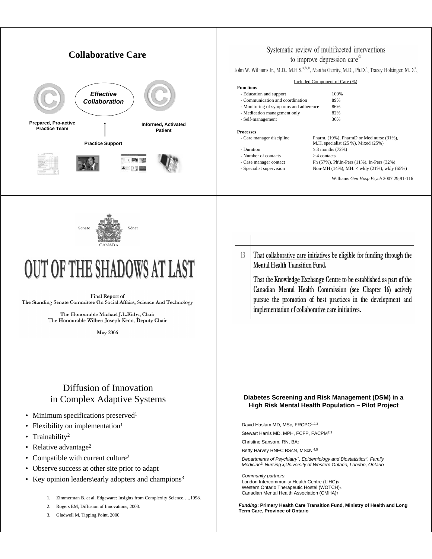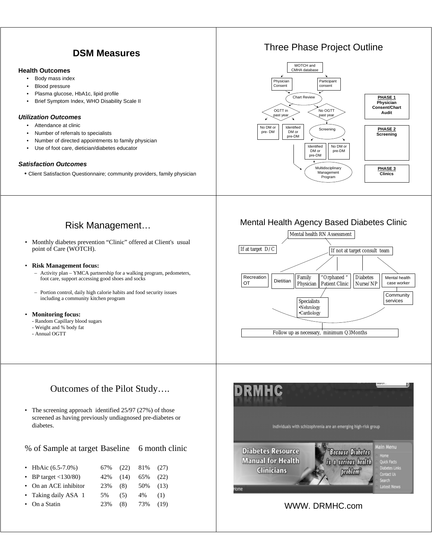## **DSM Measures**

#### **Health Outcomes**

- Body mass index
- Blood pressure
- Plasma glucose, HbA1c, lipid profile
- Brief Symptom Index, WHO Disability Scale II

### *Utilization Outcomes*

- Attendance at clinic
- Number of referrals to specialists
- Number of directed appointments to family physician
- Use of foot care, dietician/diabetes educator

#### *Satisfaction Outcomes*

• Client Satisfaction Questionnaire; community providers, family physician

## Three Phase Project Outline



## Risk Management…

• Monthly diabetes prevention "Clinic" offered at Client's usual point of Care (WOTCH).

#### • **Risk Management focus:**

- Activity plan YMCA partnership for a walking program, pedometers, foot care, support accessing good shoes and socks
- Portion control, daily high calorie habits and food security issues including a community kitchen program

#### • **Monitoring focus:**

- Random Capillary blood sugars
- Weight and % body fat
- Annual OGTT

## Outcomes of the Pilot Study….

• The screening approach identified 25/97 (27%) of those screened as having previously undiagnosed pre-diabetes or diabetes.

| % of Sample at target Baseline 6 month clinic |     |      |     |      |
|-----------------------------------------------|-----|------|-----|------|
| • HbAic $(6.5-7.0\%)$                         | 67% | (22) | 81% | (27) |
| • BP target $\langle 130/80 \rangle$          | 42% | (14) | 65% | (22) |
| • On an ACE inhibitor                         | 23% | (8)  | 50% | (13) |
| • Taking daily ASA 1                          | 5%  | (5)  | 4%  | (1)  |
| On a Statin                                   | 23% | (8)  | 73% | (19) |
|                                               |     |      |     |      |

## Mental Health Agency Based Diabetes Clinic